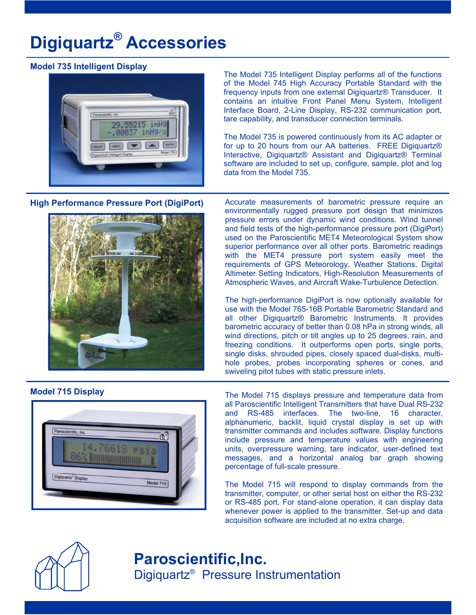# **Digiquartz® Accessories**

### **Model 735 Intelligent Display**



The Model 735 Intelligent Display performs all of the functions of the Model 745 High Accuracy Portable Standard with the frequency inputs from one external Digiquartz® Transducer. It contains an intuitive Front Panel Menu System, Intelligent Interface Board, 2-Line Display, RS-232 communication port, tare capability, and transducer connection terminals.

The Model 735 is powered continuously from its AC adapter or for up to 20 hours from our AA batteries. FREE Digiquartz® Interactive, Digiquartz® Assistant and Digiquartz® Terminal software are included to set up, configure, sample, plot and log data from the Model 735.

**High Performance Pressure Port (DigiPort)** 



Accurate measurements of barometric pressure require an environmentally rugged pressure port design that minimizes pressure errors under dynamic wind conditions. Wind tunnel and field tests of the high-performance pressure port (DigiPort) used on the Paroscientific MET4 Meteorological System show superior performance over all other ports. Barometric readings with the MET4 pressure port system easily meet the requirements of GPS Meteorology, Weather Stations, Digital Altimeter Setting Indicators, High-Resolution Measurements of Atmospheric Waves, and Aircraft Wake-Turbulence Detection.

The high-performance DigiPort is now optionally available for use with the Model 765-16B Portable Barometric Standard and all other Digiquartz® Barometric Instruments. It provides barometric accuracy of better than 0.08 hPa in strong winds, all wind directions, pitch or tilt angles up to 25 degrees, rain, and freezing conditions. It outperforms open ports, single ports, single disks, shrouded pipes, closely spaced dual-disks, multihole probes, probes incorporating spheres or cones, and swiveling pitot tubes with static pressure inlets.

#### **Model 715 Display**



The Model 715 displays pressure and temperature data from all Paroscientific Intelligent Transmitters that have Dual RS-232 and RS-485 interfaces. The two-line, 16 character, alphanumeric, backlit, liquid crystal display is set up with transmitter commands and includes software. Display functions include pressure and temperature values with engineering units, overpressure warning, tare indicator, user-defined text messages, and a horizontal analog bar graph showing percentage of full-scale pressure.

The Model 715 will respond to display commands from the transmitter, computer, or other serial host on either the RS-232 or RS-485 port. For stand-alone operation, it can display data whenever power is applied to the transmitter. Set-up and data acquisition software are included at no extra charge.



## **Paroscientific,Inc.** Digiquartz® Pressure Instrumentation